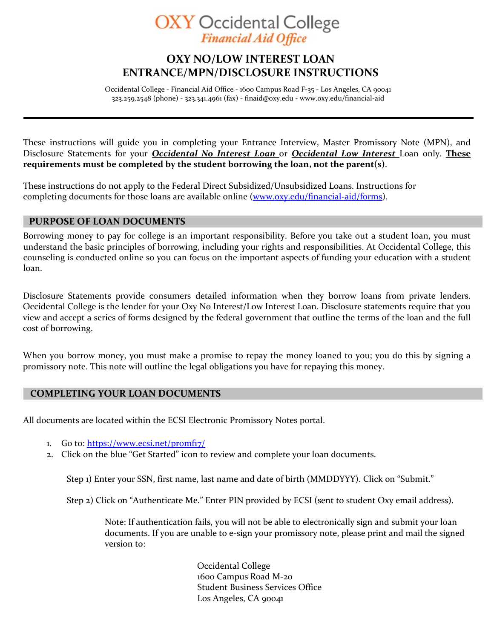# **OXY** Occidental College **Financial Aid Office**

# **OXY NO/LOW INTEREST LOAN ENTRANCE/MPN/DISCLOSURE INSTRUCTIONS**

Occidental College - Financial Aid Office - 1600 Campus Road F-35 - Los Angeles, CA 90041 323.259.2548 (phone) - 323.341.4961 (fax) - [finaid@oxy.edu](mailto:finaid@oxy.edu) - [www.oxy.edu/financial-aid](http://www.oxy.edu/financial-aid)

These instructions will guide you in completing your Entrance Interview, Master Promissory Note (MPN), and Disclosure Statements for your *Occidental No Interest Loan* or *Occidental Low Interest* Loan only. **These requirements must be completed by the student borrowing the loan, not the parent(s)**.

These instructions do not apply to the Federal Direct Subsidized/Unsubsidized Loans. Instructions for completing documents for those loans are [available online \(www.oxy.edu](http://www.oxy.edu/financial-aid/forms)/financial-aid/forms).

## **PURPOSE OF LOAN DOCUMENTS**

Borrowing money to pay for college is an important responsibility. Before you take out a student loan, you must understand the basic principles of borrowing, including your rights and responsibilities. At Occidental College, this counseling is conducted online so you can focus on the important aspects of funding your education with a student loan.

Disclosure Statements provide consumers detailed information when they borrow loans from private lenders. Occidental College is the lender for your Oxy No Interest/Low Interest Loan. Disclosure statements require that you view and accept a series of forms designed by the federal government that outline the terms of the loan and the full cost of borrowing.

When you borrow money, you must make a promise to repay the money loaned to you; you do this by signing a promissory note. This note will outline the legal obligations you have for repaying this money.

### **COMPLETING YOUR LOAN DOCUMENTS**

All documents are located within the ECSI Electronic Promissory Notes portal.

- 1. Go to: https://www.ecsi.net/promfiz/
- 2. Click on the blue "Get Started" icon to review and complete your loan documents.

Step 1) Enter your SSN, first name, last name and date of birth (MMDDYYY). Click on "Submit."

Step 2) Click on "Authenticate Me." Enter PIN provided by ECSI (sent to student Oxy email address).

Note: If authentication fails, you will not be able to electronically sign and submit your loan documents. If you are unable to e-sign your promissory note, please print and mail the signed version to:

> Occidental College 1600 Campus Road M-20 Student Business Services Office Los Angeles, CA 90041